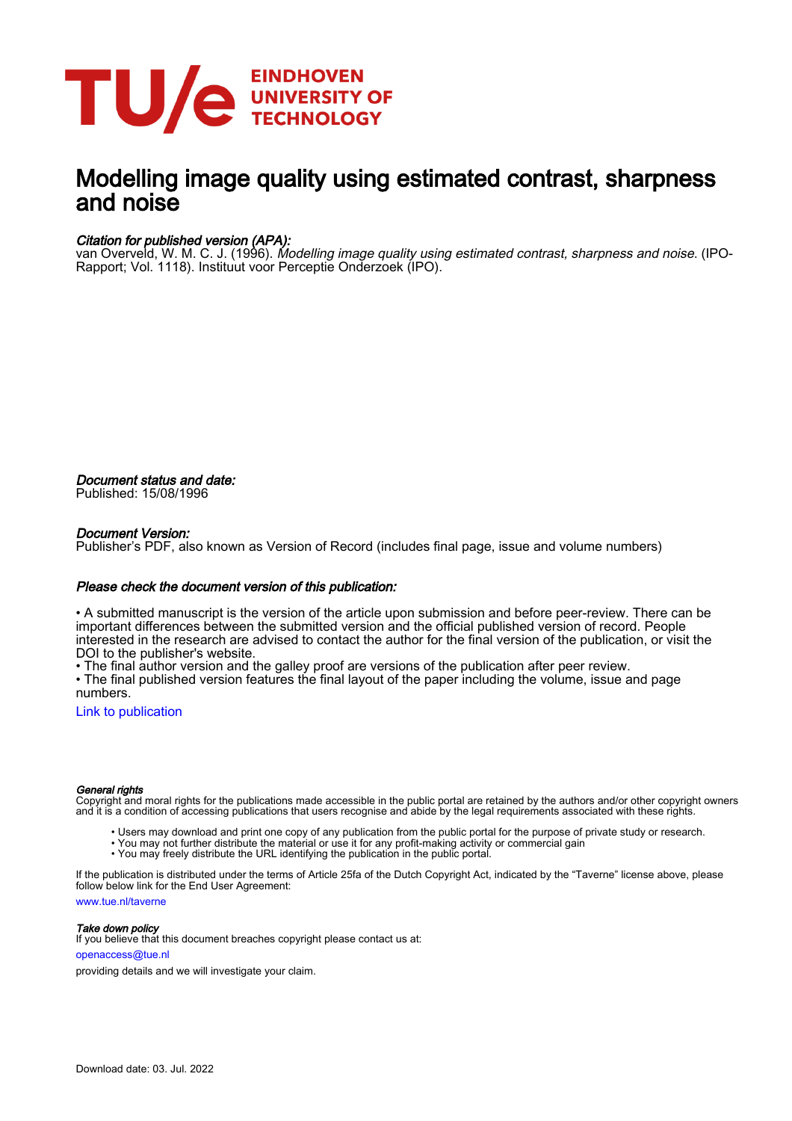

## Modelling image quality using estimated contrast, sharpness and noise

#### Citation for published version (APA):

van Overveld, W. M. C. J. (1996). Modelling image quality using estimated contrast, sharpness and noise. (IPO-Rapport; Vol. 1118). Instituut voor Perceptie Onderzoek (IPO).

Document status and date: Published: 15/08/1996

#### Document Version:

Publisher's PDF, also known as Version of Record (includes final page, issue and volume numbers)

#### Please check the document version of this publication:

• A submitted manuscript is the version of the article upon submission and before peer-review. There can be important differences between the submitted version and the official published version of record. People interested in the research are advised to contact the author for the final version of the publication, or visit the DOI to the publisher's website.

• The final author version and the galley proof are versions of the publication after peer review.

• The final published version features the final layout of the paper including the volume, issue and page numbers.

[Link to publication](https://research.tue.nl/en/publications/532c8a8e-418c-4af7-acdc-3a68eef5020a)

#### General rights

Copyright and moral rights for the publications made accessible in the public portal are retained by the authors and/or other copyright owners and it is a condition of accessing publications that users recognise and abide by the legal requirements associated with these rights.

- Users may download and print one copy of any publication from the public portal for the purpose of private study or research.
- You may not further distribute the material or use it for any profit-making activity or commercial gain
- You may freely distribute the URL identifying the publication in the public portal.

If the publication is distributed under the terms of Article 25fa of the Dutch Copyright Act, indicated by the "Taverne" license above, please follow below link for the End User Agreement:

www.tue.nl/taverne

**Take down policy**<br>If you believe that this document breaches copyright please contact us at:

openaccess@tue.nl

providing details and we will investigate your claim.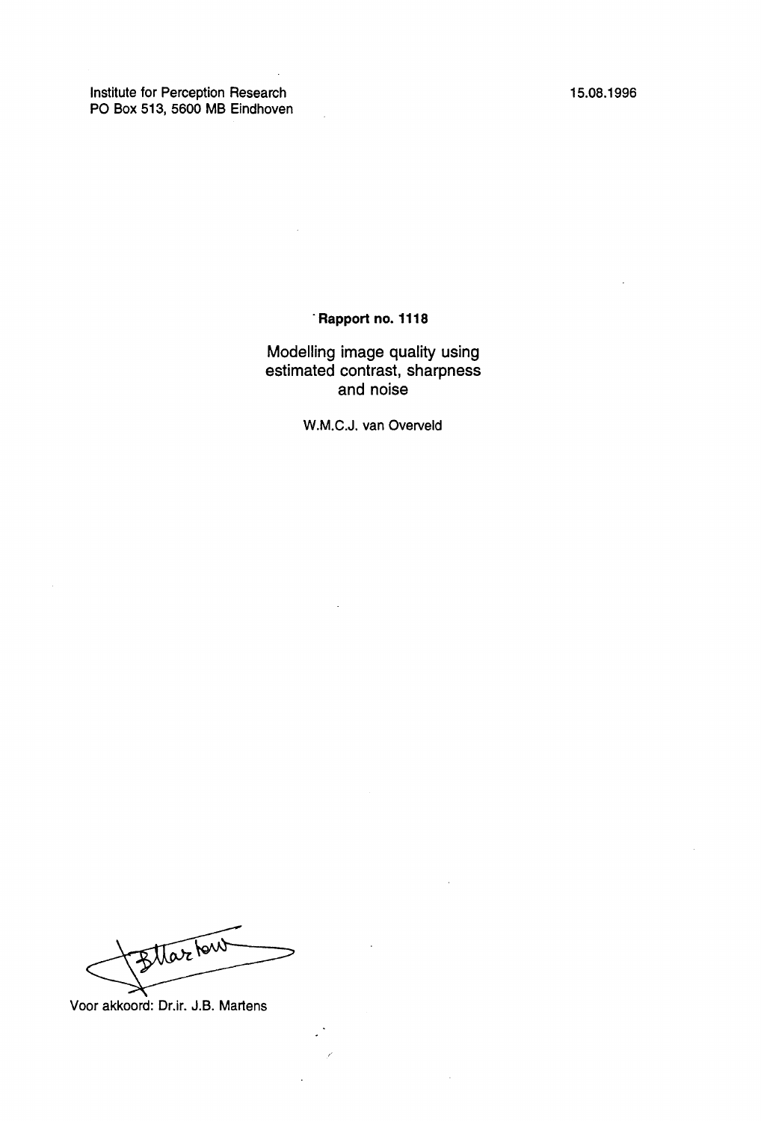Institute for Perception Research PO Box 513, 5600 MB Eindhoven 15.08.1996

#### · **Rapport no. 1118**

Modelling image quality using estimated contrast, sharpness and noise

W.M.C.J. van Overveld

Blackut

Voor akkoord: Dr.ir. J.B. Martens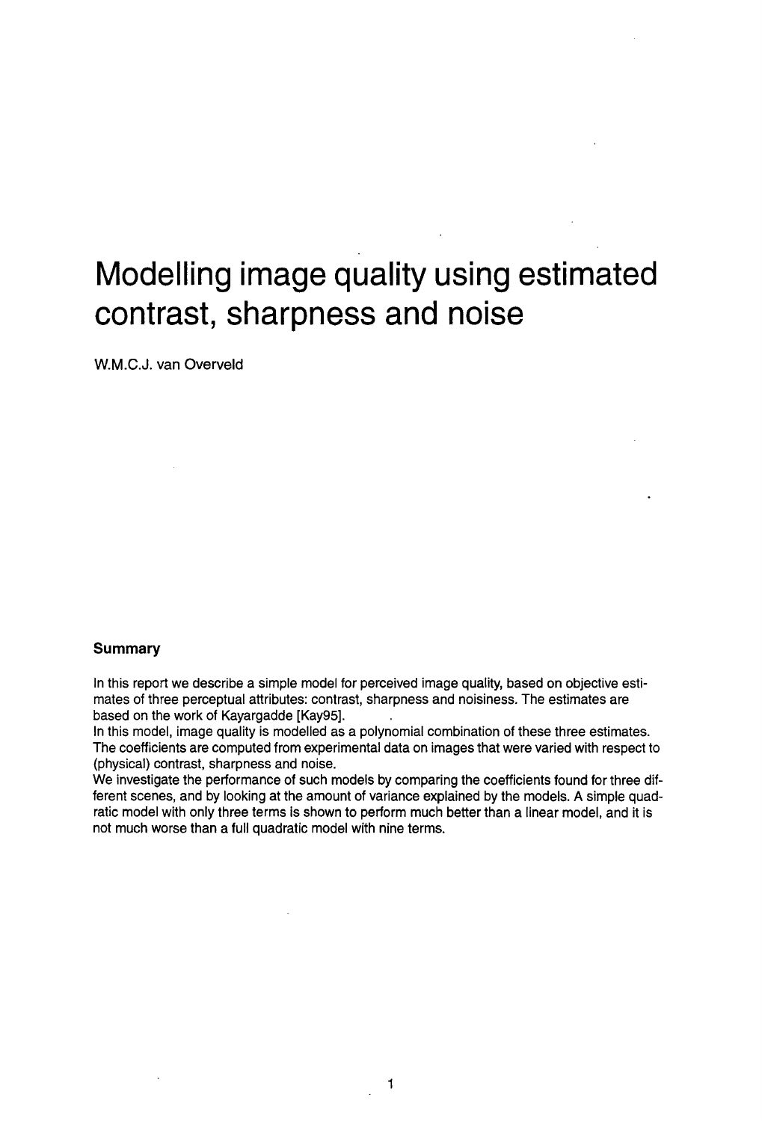# **Modelling image quality using estimated contrast, sharpness and noise**

W.M.C.J. van Overveld

#### **Summary**

In this report we describe a simple model for perceived image quality, based on objective estimates of three perceptual attributes: contrast, sharpness and noisiness. The estimates are based on the work of Kayargadde [Kay95].

In this model, image quality is modelled as a polynomial combination of these three estimates. The coefficients are computed from experimental data on images that were varied with respect to (physical) contrast, sharpness and noise.

We investigate the performance of such models by comparing the coefficients found for three different scenes, and by looking at the amount of variance explained by the models. A simple quadratic model with only three terms is shown to perform much better than a linear model, and it is not much worse than a full quadratic model with nine terms.

1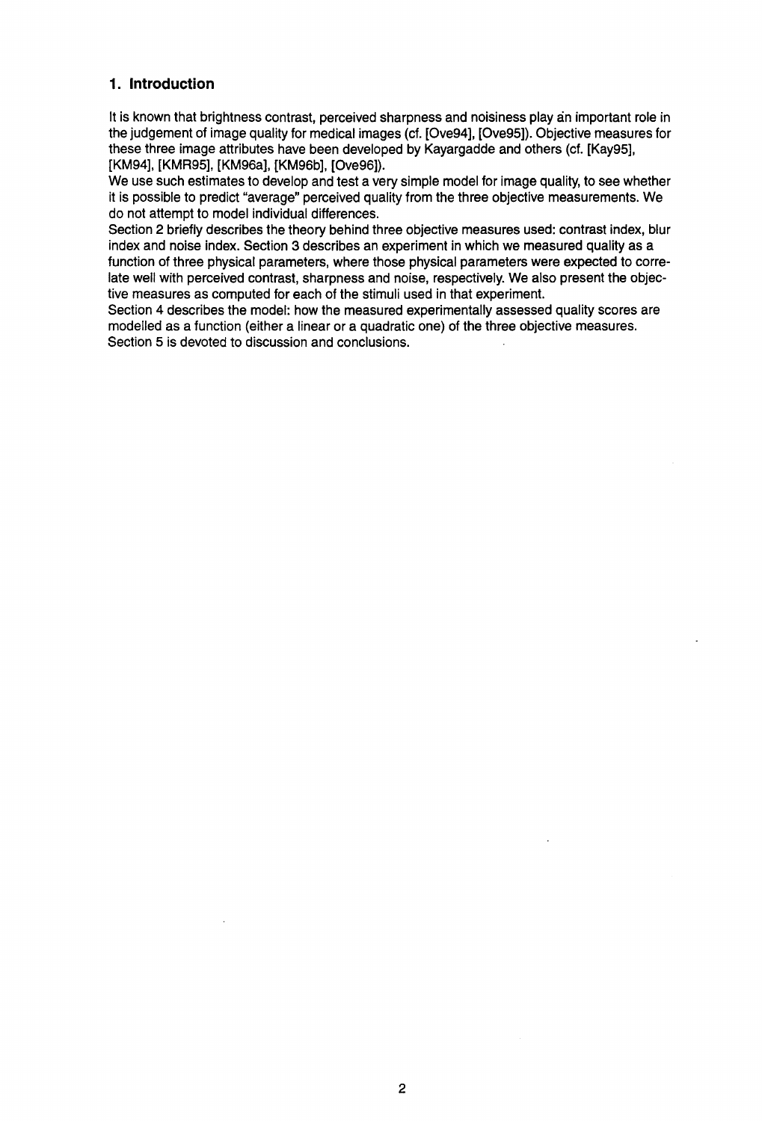#### **1. Introduction**

It is known that brightness contrast, perceived sharpness and noisiness play an important role in the judgement of image quality for medical images (cf. [Ove94], [Ove95]). Objective measures for these three image attributes have been developed by Kayargadde and others (cf. [Kay95], [KM94], [KMR95], [KM96a], [KM96b], [Ove96]).

We use such estimates to develop and test a very simple model for image quality, to see whether it is possible to predict "average" perceived quality from the three objective measurements. We do not attempt to model individual differences.

Section 2 briefly describes the theory behind three objective measures used: contrast index, blur index and noise index. Section 3 describes an experiment in which we measured quality as a function of three physical parameters, where those physical parameters were expected to correlate well with perceived contrast, sharpness and noise, respectively. We also present the objective measures as computed for each of the stimuli used in that experiment.

Section 4 describes the model: how the measured experimentally assessed quality scores are modelled as a function (either a linear or a quadratic one) of the three objective measures. Section 5 is devoted to discussion and conclusions.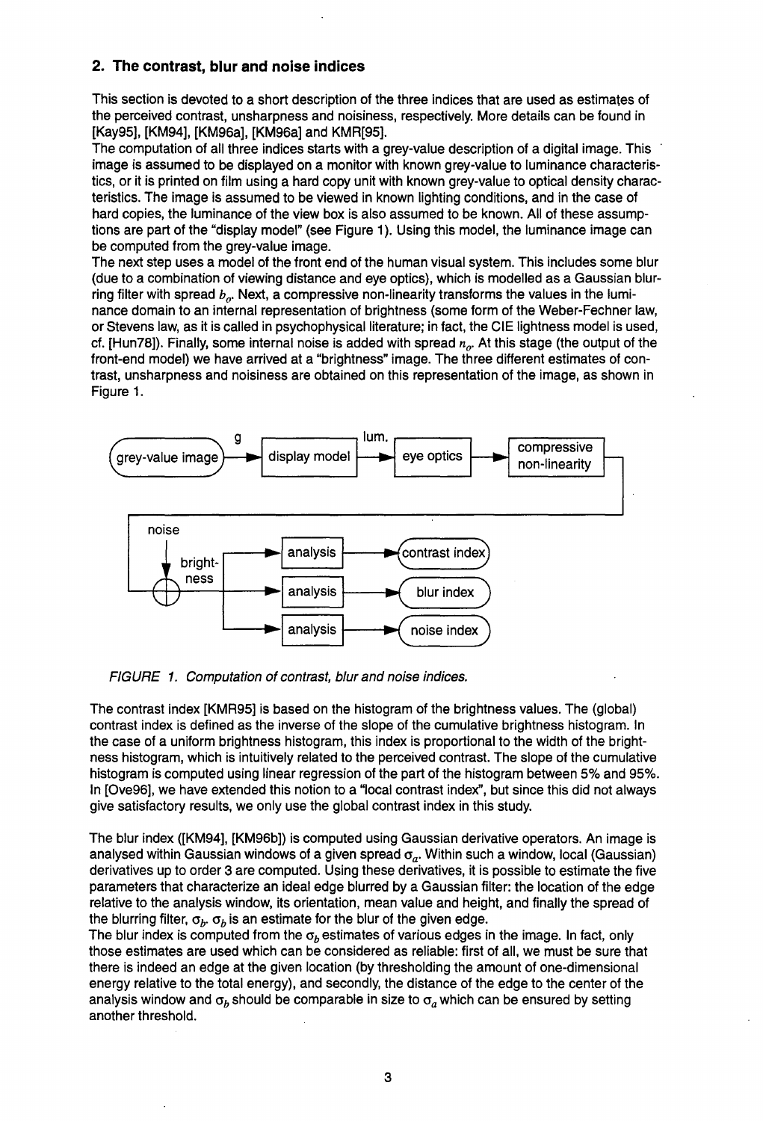### **2. The contrast, blur and noise indices**

This section is devoted to a short description of the three indices that are used as estimates of the perceived contrast, unsharpness and noisiness, respectively. More details can be found in [Kay95], [KM94], [KM96a], [KM96a] and KMR[95].

The computation of all three indices starts with a grey-value description of a digital image. This image is assumed to be displayed on a monitor with known grey-value to luminance characteristics, or it is printed on film using a hard copy unit with known grey-value to optical density characteristics. The image is assumed to be viewed in known lighting conditions, and in the case of hard copies, the luminance of the view box is also assumed to be known. All of these assumptions are part of the "display model" (see Figure 1). Using this model, the luminance image can be computed from the grey-value image.

The next step uses a model of the front end of the human visual system. This includes some blur (due to a combination of viewing distance and eye optics), which is modelled as a Gaussian blurring filter with spread  $b_n$ . Next, a compressive non-linearity transforms the values in the luminance domain to an internal representation of brightness (some form of the Weber-Fechner law, or Stevens law, as it is called in psychophysical literature; in fact, the CIE lightness model is used, cf. [Hun78]). Finally, some internal noise is added with spread  $n<sub>o</sub>$ . At this stage (the output of the front-end model) we have arrived at a "brightness" image. The three different estimates of contrast, unsharpness and noisiness are obtained on this representation of the image, as shown in Figure 1.



FIGURE 1. Computation of contrast, blur and noise indices.

The contrast index [KMR95] is based on the histogram of the brightness values. The (global) contrast index is defined as the inverse of the slope of the cumulative brightness histogram. In the case of a uniform brightness histogram, this index is proportional to the width of the brightness histogram, which is intuitively related to the perceived contrast. The slope of the cumulative histogram is computed using linear regression of the part of the histogram between 5% and 95%. In [Ove96], we have extended this notion to a "local contrast index", but since this did not always give satisfactory results, we only use the global contrast index in this study.

The blur index ([KM94], [KM96b]) is computed using Gaussian derivative operators. An image is analysed within Gaussian windows of a given spread  $\sigma_a$ . Within such a window, local (Gaussian) derivatives up to order 3 are computed. Using these derivatives, it is possible to estimate the five parameters that characterize an ideal edge blurred by a Gaussian filter: the location of the edge relative to the analysis window, its orientation, mean value and height, and finally the spread of the blurring filter,  $\sigma_b$ ,  $\sigma_b$  is an estimate for the blur of the given edge.

The blur index is computed from the  $\sigma_b$  estimates of various edges in the image. In fact, only those estimates are used which can be considered as reliable: first of all, we must be sure that there is indeed an edge at the given location (by thresholding the amount of one-dimensional energy relative to the total energy), and secondly, the distance of the edge to the center of the analysis window and  $\sigma_b$  should be comparable in size to  $\sigma_a$  which can be ensured by setting another threshold.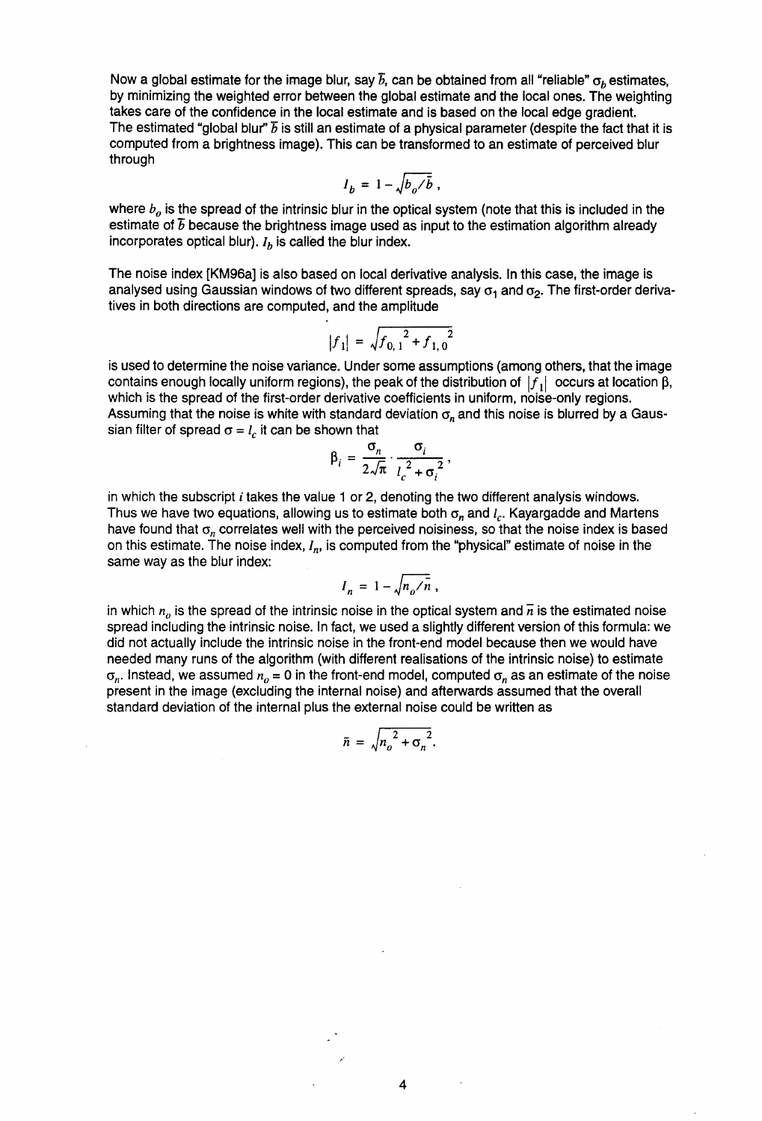Now a global estimate for the image blur, say  $\bar{b}$ , can be obtained from all "reliable"  $\sigma_b$  estimates, by minimizing the weighted error between the global estimate and the local ones. The weighting takes care of the confidence in the local estimate and is based on the local edge gradient. The estimated "global blur"  $\bar{b}$  is still an estimate of a physical parameter (despite the fact that it is computed from a brightness image). This can be transformed to an estimate of perceived blur through

$$
I_b = 1 - \sqrt{b_o/\bar{b}} ,
$$

where  $b<sub>o</sub>$  is the spread of the intrinsic blur in the optical system (note that this is included in the estimate of  $\bar{b}$  because the brightness image used as input to the estimation algorithm already incorporates optical blur).  $I<sub>b</sub>$  is called the blur index.

The noise index [KM96a] is also based on local derivative analysis. In this case, the image is analysed using Gaussian windows of two different spreads, say  $\sigma_1$  and  $\sigma_2$ . The first-order derivatives in both directions are computed, and the amplitude

$$
|f_1| = \sqrt{f_{0,1}^2 + f_{1,0}^2}
$$

is used to determine the noise variance. Under some assumptions (among others, that the image contains enough locally uniform regions), the peak of the distribution of  $|f_1|$  occurs at location  $\beta$ , which is the spread of the first-order derivative coefficients in uniform, noise-only regions. Assuming that the noise is white with standard deviation  $\sigma_n$  and this noise is blurred by a Gaussian filter of spread  $\sigma = l_c$  it can be shown that

$$
\beta_i = \frac{\sigma_n}{2\sqrt{\pi}} \cdot \frac{\sigma_i}{l_c^2 + \sigma_i^2},
$$

in which the subscript  $i$  takes the value 1 or 2, denoting the two different analysis windows. Thus we have two equations, allowing us to estimate both  $\sigma_n$  and  $I_c$ . Kayargadde and Martens have found that  $\sigma_n$  correlates well with the perceived noisiness, so that the noise index is based on this estimate. The noise index, *In,* is computed from the "physical" estimate of noise in the same way as the blur index:

$$
I_n = 1 - \sqrt{n_o / n} ,
$$

in which  $n<sub>o</sub>$  is the spread of the intrinsic noise in the optical system and  $\bar{n}$  is the estimated noise spread including the intrinsic noise. In fact, we used a slightly different version of this formula: we did not actually include the intrinsic noise in the front-end model because then we would have needed many runs of the algorithm (with different realisations of the intrinsic noise) to estimate  $\sigma_n$ . Instead, we assumed  $n_0 = 0$  in the front-end model, computed  $\sigma_n$  as an estimate of the noise present in the image (excluding the internal noise) and afterwards assumed that the overall standard deviation of the internal plus the external noise could be written as

$$
\bar{n} = \sqrt{n_o^2 + \sigma_n^2}.
$$

4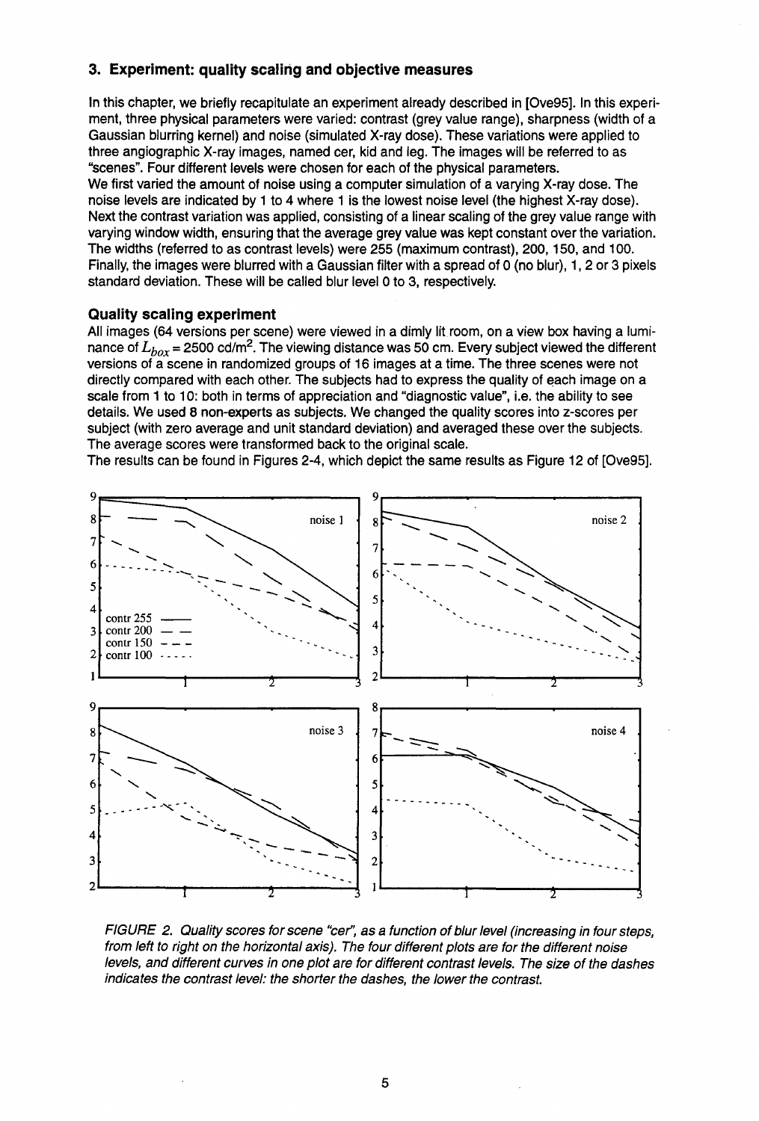#### **3. Experiment: quality scaling and objective measures**

In this chapter, we briefly recapitulate an experiment already described in [Ove95]. In this experiment, three physical parameters were varied: contrast {grey value range), sharpness {width of a Gaussian blurring kernel) and noise {simulated X-ray dose). These variations were applied to three angiographic X-ray images, named cer, kid and leg. The images will be referred to as "scenes". Four different levels were chosen for each of the physical parameters. We first varied the amount of noise using a computer simulation of a varying X-ray dose. The noise levels are indicated by 1 to 4 where 1 is the lowest noise level {the highest X-ray dose). Next the contrast variation was applied, consisting of a linear scaling of the grey value range with varying window width, ensuring that the average grey value was kept constant over the variation. The widths {referred to as contrast levels) were 255 {maximum contrast), 200, 150, and 100. Finally, the images were blurred with a Gaussian filter with a spread of O {no blur), 1, 2 or 3 pixels standard deviation. These will be called blur level 0 to 3, respectively.

#### **Quality scaling experiment**

All images {64 versions per scene) were viewed in a dimly lit room, on a view box having a luminance of  $L_{box}$  = 2500 cd/m<sup>2</sup>. The viewing distance was 50 cm. Every subject viewed the different versions of a scene in randomized groups of 16 images at a time. The three scenes were not directly compared with each other. The subjects had to express the quality of each image on a scale from 1 to 10: both in terms of appreciation and "diagnostic value", i.e. the ability to see details. We used 8 non-experts as subjects. We changed the quality scores into z-scores per subject {with zero average and unit standard deviation) and averaged these over the subjects. The average scores were transformed back to the original scale.

The results can be found in Figures 2-4, which depict the same results as Figure 12 of [Ove95].



FIGURE 2. Quality scores for scene "cer': as a function of blur level (increasing in four steps, from left to right on the horizontal axis). The four different plots are for the different noise levels, and different curves in one plot are for different contrast levels. The size of the dashes indicates the contrast level: the shorter the dashes, the lower the contrast.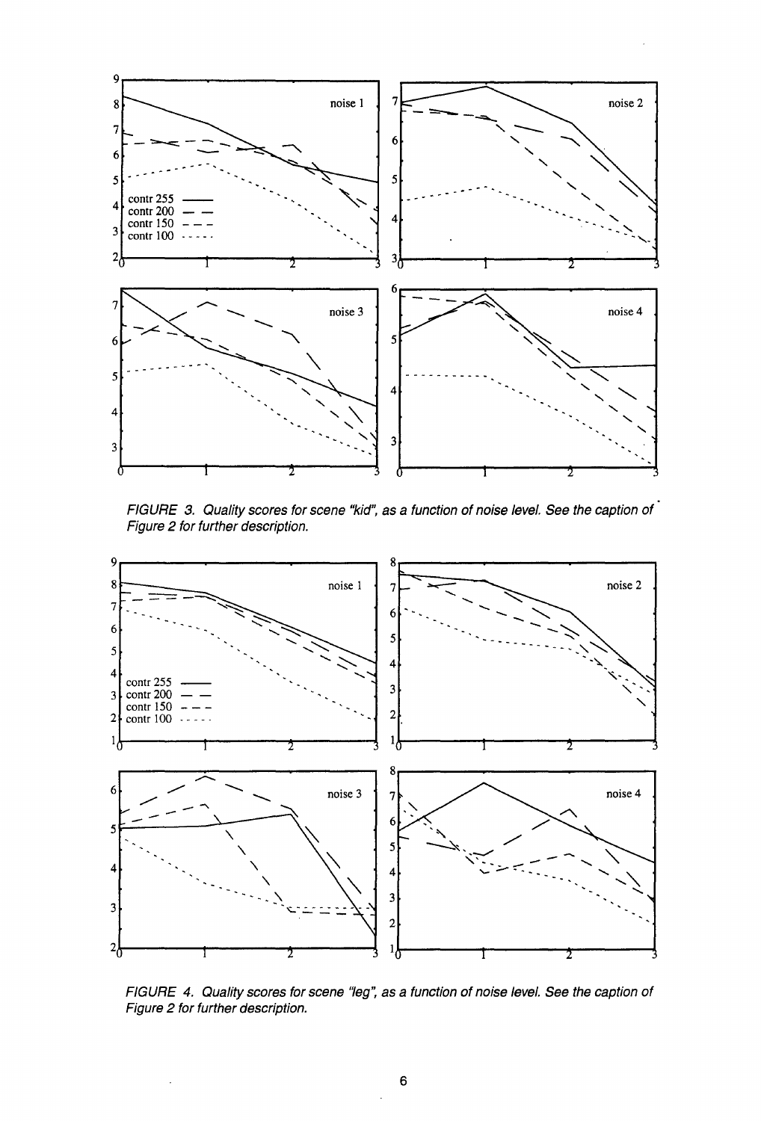

FIGURE 3. Quality scores for scene "kid", as a function of noise level. See the caption of Figure 2 for further description.



FIGURE 4. Quality scores for scene "leg", as a function of noise level. See the caption of Figure 2 for further description.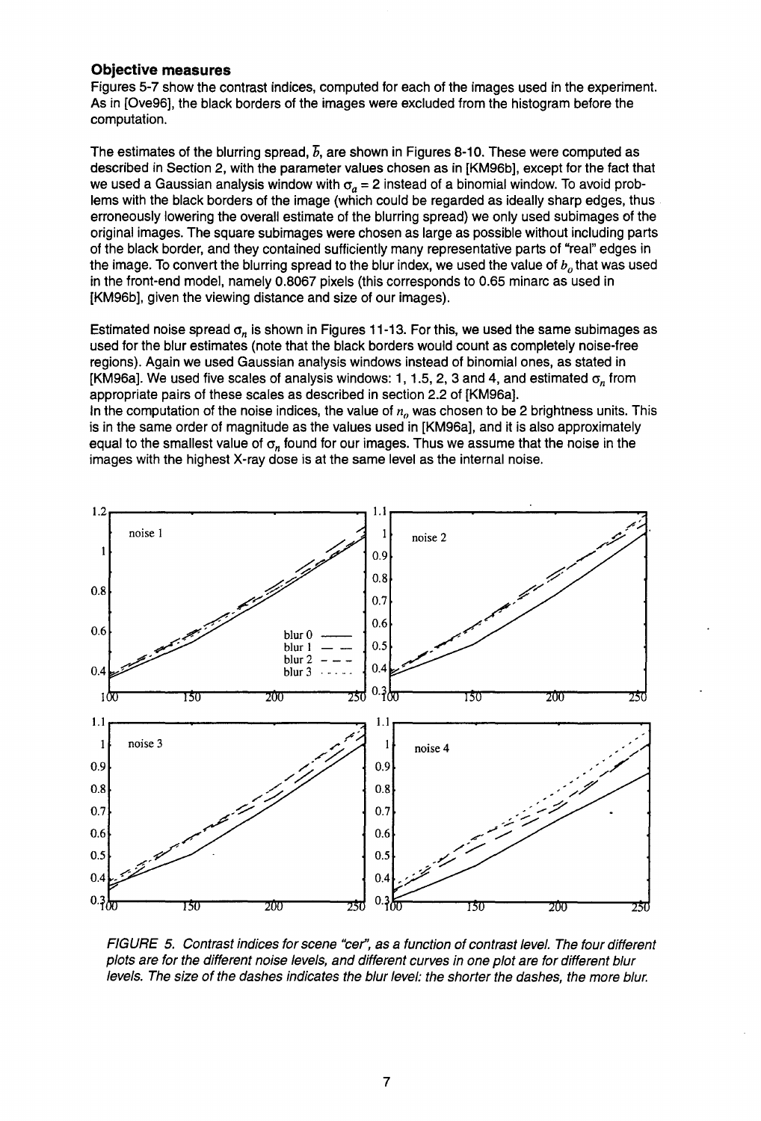#### **Objective measures**

Figures 5-7 show the contrast indices, computed for each of the images used in the experiment. As in [Ove96], the black borders of the images were excluded from the histogram before the computation.

The estimates of the blurring spread, *b,* are shown in Figures 8-10. These were computed as described in Section 2, with the parameter values chosen as in [KM96b], except for the fact that we used a Gaussian analysis window with  $\sigma_a = 2$  instead of a binomial window. To avoid problems with the black borders of the image (which could be regarded as ideally sharp edges, thus erroneously lowering the overall estimate of the blurring spread) we only used subimages of the original images. The square subimages were chosen as large as possible without including parts of the black border, and they contained sufficiently many representative parts of "real" edges in the image. To convert the blurring spread to the blur index, we used the value of  $b<sub>o</sub>$  that was used in the front-end model, namely 0.8067 pixels (this corresponds to 0.65 minarc as used in [KM96b], given the viewing distance and size of our images).

Estimated noise spread  $\sigma_n$  is shown in Figures 11-13. For this, we used the same subimages as used for the blur estimates (note that the black borders would count as completely noise-free regions). Again we used Gaussian analysis windows instead of binomial ones, as stated in [KM96a]. We used five scales of analysis windows: 1, 1.5, 2, 3 and 4, and estimated  $\sigma_n$  from appropriate pairs of these scales as described in section 2.2 of [KM96a]. In the computation of the noise indices, the value of  $n<sub>o</sub>$  was chosen to be 2 brightness units. This is in the same order of magnitude as the values used in [KM96a], and it is also approximately equal to the smallest value of  $\sigma_n$  found for our images. Thus we assume that the noise in the

images with the highest X-ray dose is at the same level as the internal noise.



FIGURE 5. Contrast indices for scene "cer'', as a function of contrast level. The four different plots are for the different noise levels, and different curves in one plot are for different blur levels. The size of the dashes indicates the blur level: the shorter the dashes, the more blur.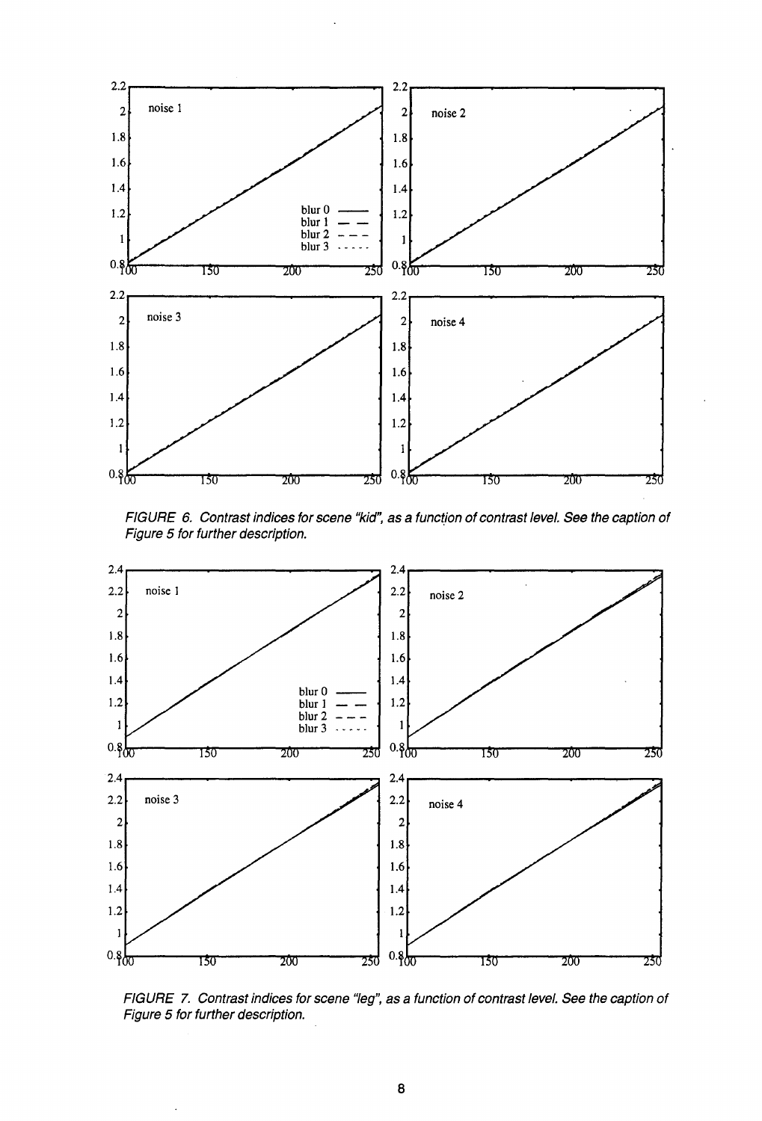

FIGURE 6. Contrast indices for scene "kid", as a function of contrast level. See the caption of Figure 5 tor further description.



FIGURE 7. Contrast indices for scene "leg", as a function of contrast level. See the caption of Figure 5 for further description.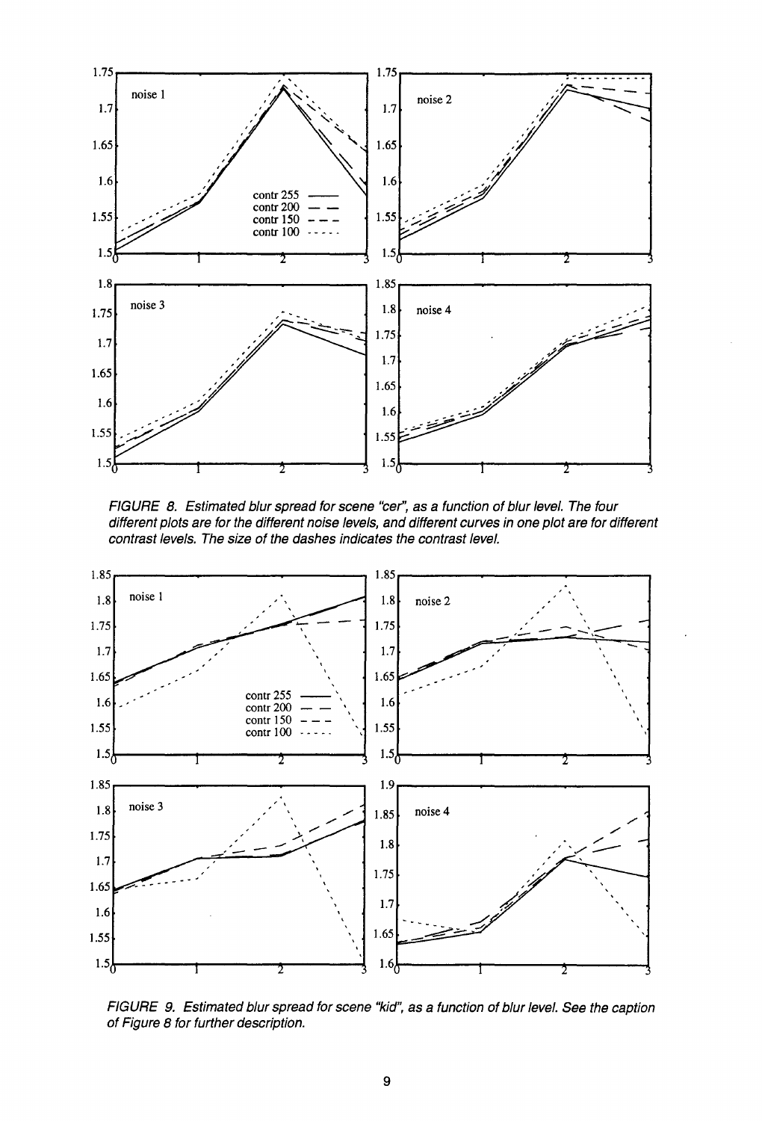

FIGURE 8. Estimated blur spread for scene "cer", as a function of blur level. The four different plots are for the different noise levels, and different curves in one plot are for different contrast levels. The size of the dashes indicates the contrast level.



FIGURE 9. Estimated blur spread for scene "kid", as a function of blur level. See the caption of Figure 8 for further description.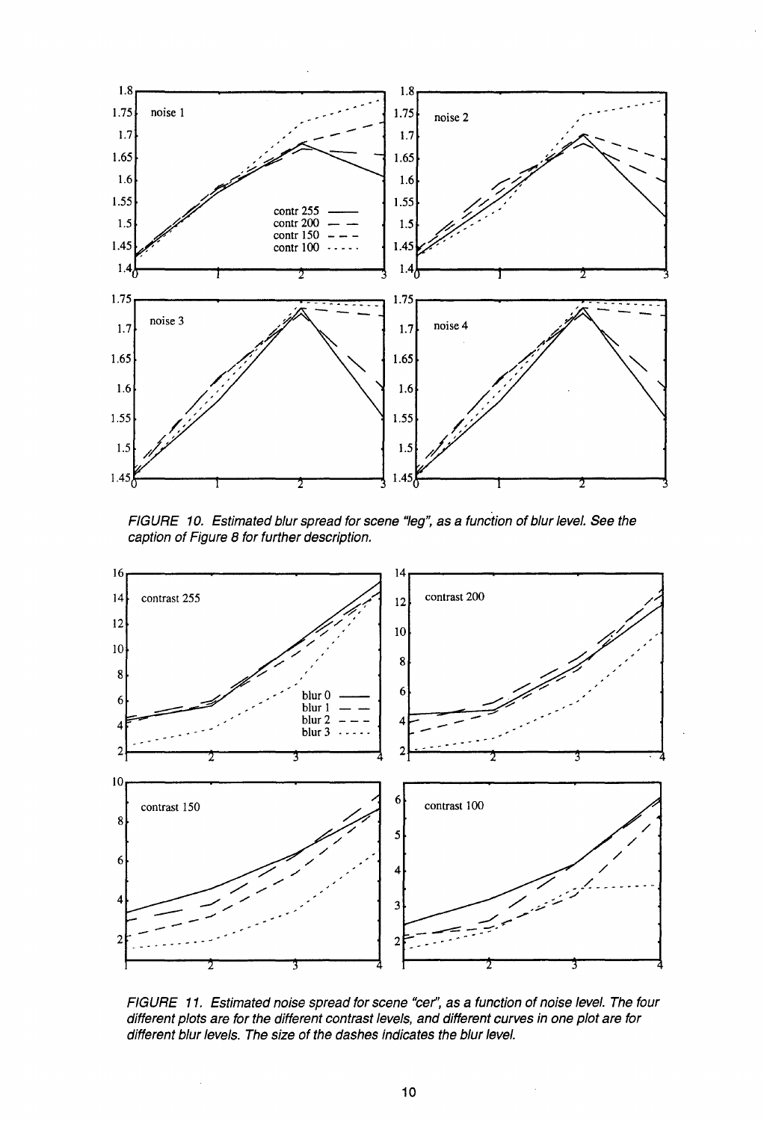

FIGURE 10. Estimated blur spread for scene "leg", as a function of blur level. See the caption of Figure 8 for further description.



FIGURE 11. Estimated noise spread for scene "cer", as a function of noise level. The four different plots are for the different contrast levels, and different curves in one plot are for different blur levels. The size of the dashes indicates the blur level.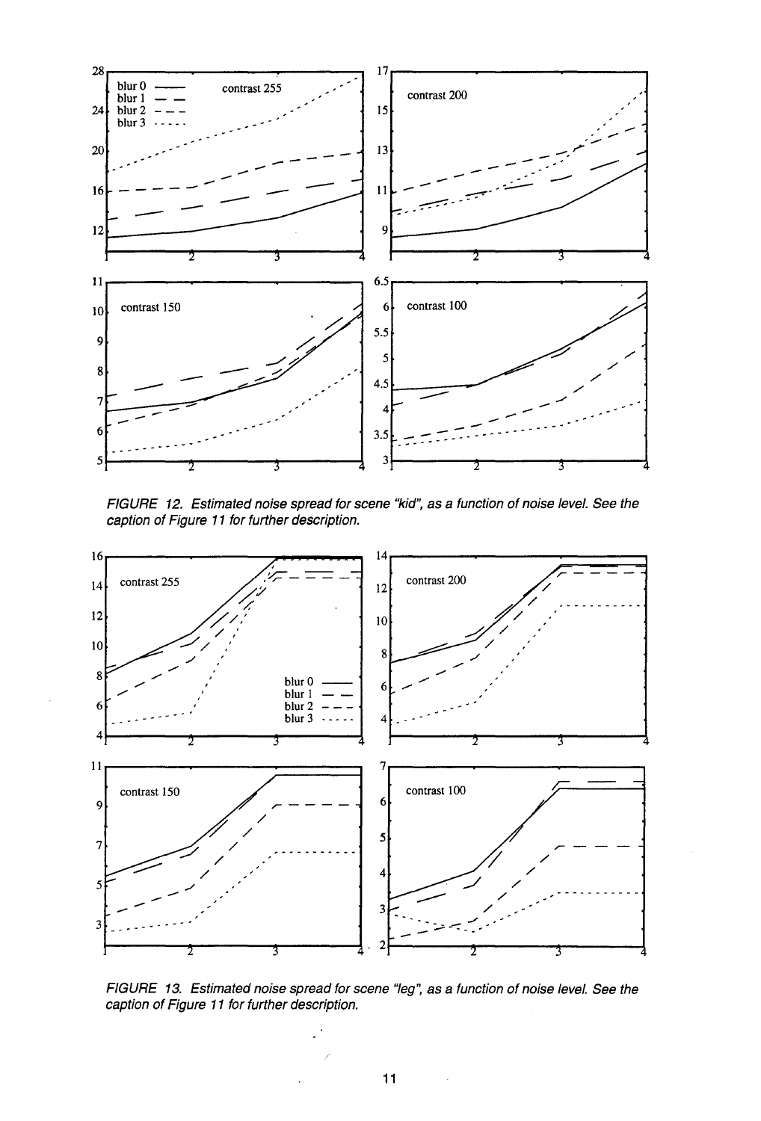

FIGURE 12. Estimated noise spread tor scene "kid", as a function of noise level. See the caption of Figure 11 for further description.



FIGURE 13. Estimated noise spread for scene "leg", as a function of noise level. See the caption of Figure 11 for further description.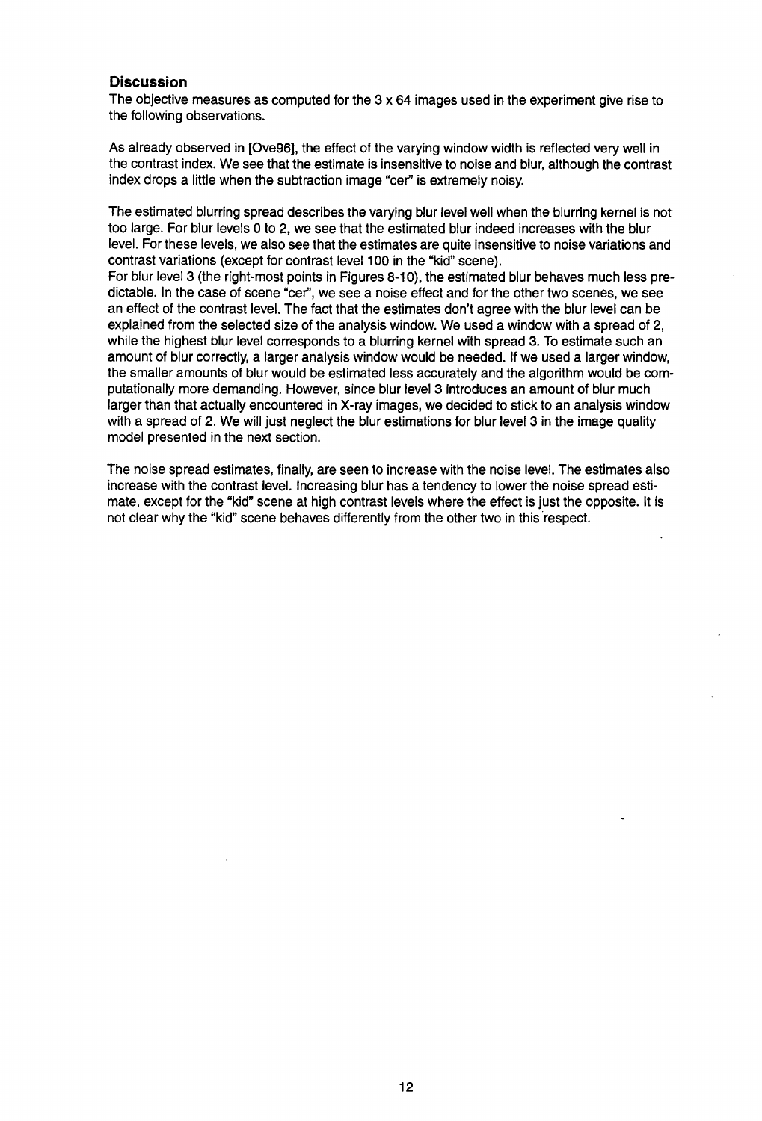#### **Discussion**

The objective measures as computed for the 3 x 64 images used in the experiment give rise to the following observations.

As already observed in [Ove96), the effect of the varying window width is reflected very well in the contrast index. We see that the estimate is insensitive to noise and blur, although the contrast index drops a little when the subtraction image "cer" is extremely noisy.

The estimated blurring spread describes the varying blur level well when the blurring kernel is not too large. For blur levels O to 2, we see that the estimated blur indeed increases with the blur level. For these levels, we also see that the estimates are quite insensitive to noise variations and contrast variations (except for contrast level 100 in the "kid" scene).

For blur level 3 (the right-most points in Figures 8-10), the estimated blur behaves much less predictable. In the case of scene "cer'', we see a noise effect and for the other two scenes, we see an effect of the contrast level. The fact that the estimates don't agree with the blur level can be explained from the selected size of the analysis window. We used a window with a spread of 2, while the highest blur level corresponds to a blurring kernel with spread 3. To estimate such an amount of blur correctly, a larger analysis window would be needed. If we used a larger window, the smaller amounts of blur would be estimated less accurately and the algorithm would be computationally more demanding. However, since blur level 3 introduces an amount of blur much larger than that actually encountered in X-ray images, we decided to stick to an analysis window with a spread of 2. We will just neglect the blur estimations for blur level 3 in the image quality model presented in the next section.

The noise spread estimates, finally, are seen to increase with the noise level. The estimates also increase with the contrast level. Increasing blur has a tendency to lower the noise spread estimate, except for the "kid" scene at high contrast levels where the effect is just the opposite. It is not clear why the "kid" scene behaves differently from the other two in this respect.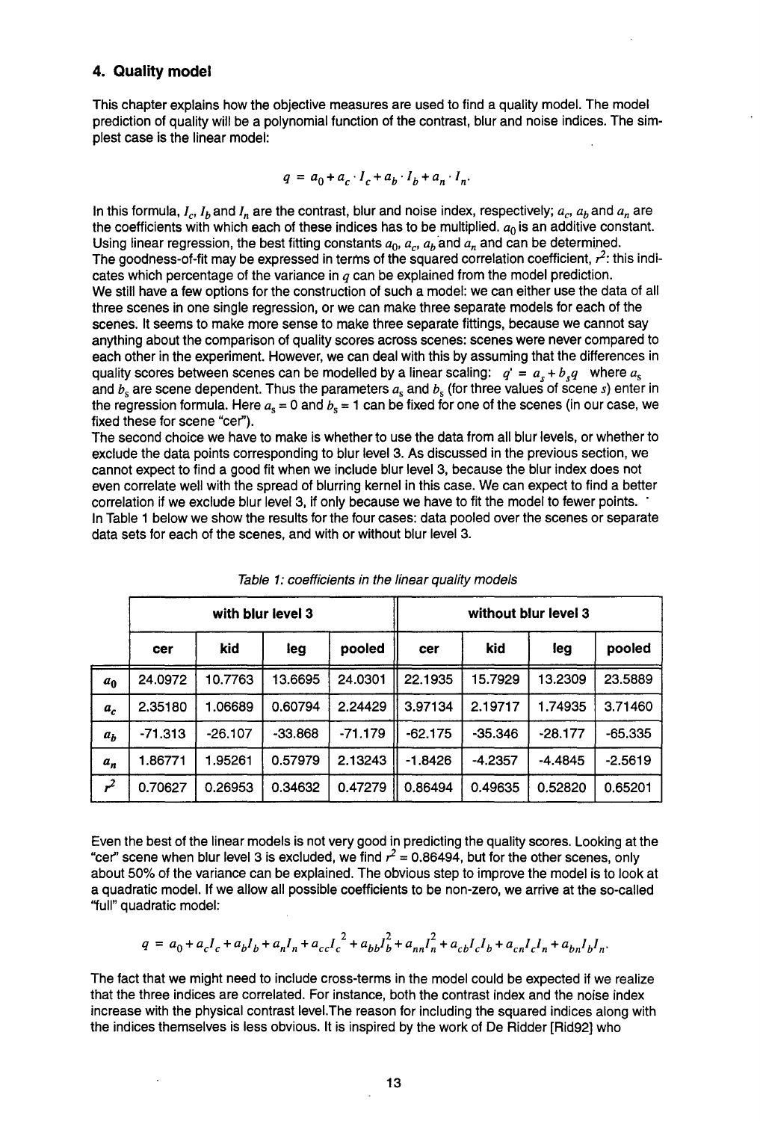#### **4. Quality model**

This chapter explains how the objective measures are used to find a quality model. The model prediction of quality will be a polynomial function of the contrast, blur and noise indices. The simplest case is the linear model:

$$
q = a_0 + a_c \cdot I_c + a_b \cdot I_b + a_n \cdot I_n.
$$

In this formula,  $I_c$ ,  $I_b$  and  $I_n$  are the contrast, blur and noise index, respectively;  $a_c$ ,  $a_b$  and  $a_n$  are the coefficients with which each of these indices has to be multiplied.  $a_0$  is an additive constant. Using linear regression, the best fitting constants  $a_0$ ,  $a_r$ ,  $a_b$  and  $a_n$  and can be determined. The goodness-of-fit may be expressed in terms of the squared correlation coefficient,  $r^2$ : this indicates which percentage of the variance in *q* can be explained from the model prediction. We still have a few options for the construction of such a model: we can either use the data of all three scenes in one single regression, or we can make three separate models for each of the scenes. It seems to make more sense to make three separate fittings, because we cannot say anything about the comparison of quality scores across scenes: scenes were never compared to each other in the experiment. However, we can deal with this by assuming that the differences in quality scores between scenes can be modelled by a linear scaling:  $q' = a_s + b_s q$  where  $a_s$ and  $b_s$  are scene dependent. Thus the parameters  $a_s$  and  $b_s$  (for three values of scene s) enter in the regression formula. Here  $a_s = 0$  and  $b_s = 1$  can be fixed for one of the scenes (in our case, we fixed these for scene "cer").

The second choice we have to make is whether to use the data from all blur levels, or whether to exclude the data points corresponding to blur level 3. As discussed in the previous section, we cannot expect to find a good fit when we include blur level 3, because the blur index does not even correlate well with the spread of blurring kernel in this case. We can expect to find a better correlation if we exclude blur level 3, if only because we have to fit the model to fewer points. In Table 1 below we show the results for the four cases: data pooled over the scenes or separate data sets for each of the scenes, and with or without blur level 3.

|                | with blur level 3 |           |           |           | without blur level 3 |           |           |           |  |
|----------------|-------------------|-----------|-----------|-----------|----------------------|-----------|-----------|-----------|--|
|                | cer               | kid       | leg       | pooled    | cer                  | kid       | leg       | pooled    |  |
| a <sub>0</sub> | 24.0972           | 10.7763   | 13.6695   | 24.0301   | 22.1935              | 15.7929   | 13.2309   | 23.5889   |  |
| $a_c$          | 2.35180           | 1.06689   | 0.60794   | 2.24429   | 3.97134              | 2.19717   | 1.74935   | 3.71460   |  |
| $a_h$          | $-71.313$         | $-26.107$ | $-33.868$ | $-71.179$ | $-62.175$            | $-35.346$ | $-28.177$ | $-65.335$ |  |
| $a_n$          | 1.86771           | 1.95261   | 0.57979   | 2.13243   | $-1.8426$            | $-4.2357$ | $-4.4845$ | $-2.5619$ |  |
| $r^2$          | 0.70627           | 0.26953   | 0.34632   | 0.47279   | 0.86494              | 0.49635   | 0.52820   | 0.65201   |  |

Table 1: coefficients in the linear quality models

Even the best of the linear models is not very good in predicting the quality scores. Looking at the "cer" scene when blur level 3 is excluded, we find  $r^2 = 0.86494$ , but for the other scenes, only about 50% of the variance can be explained. The obvious step to improve the model is to look at a quadratic model. If we allow all possible coefficients to be non-zero, we arrive at the so-called ''full" quadratic model:

$$
q = a_0 + a_c I_c + a_b I_b + a_n I_n + a_{cc} I_c^2 + a_{bb} I_b^2 + a_{nn} I_n^2 + a_{cb} I_c I_b + a_{cn} I_c I_n + a_{bn} I_b I_n
$$

The fact that we might need to include cross-terms in the model could be expected if we realize that the three indices are correlated. For instance, both the contrast index and the noise index increase with the physical contrast level.The reason for including the squared indices along with the indices themselves is less obvious. It is inspired by the work of De Ridder [Rid92] who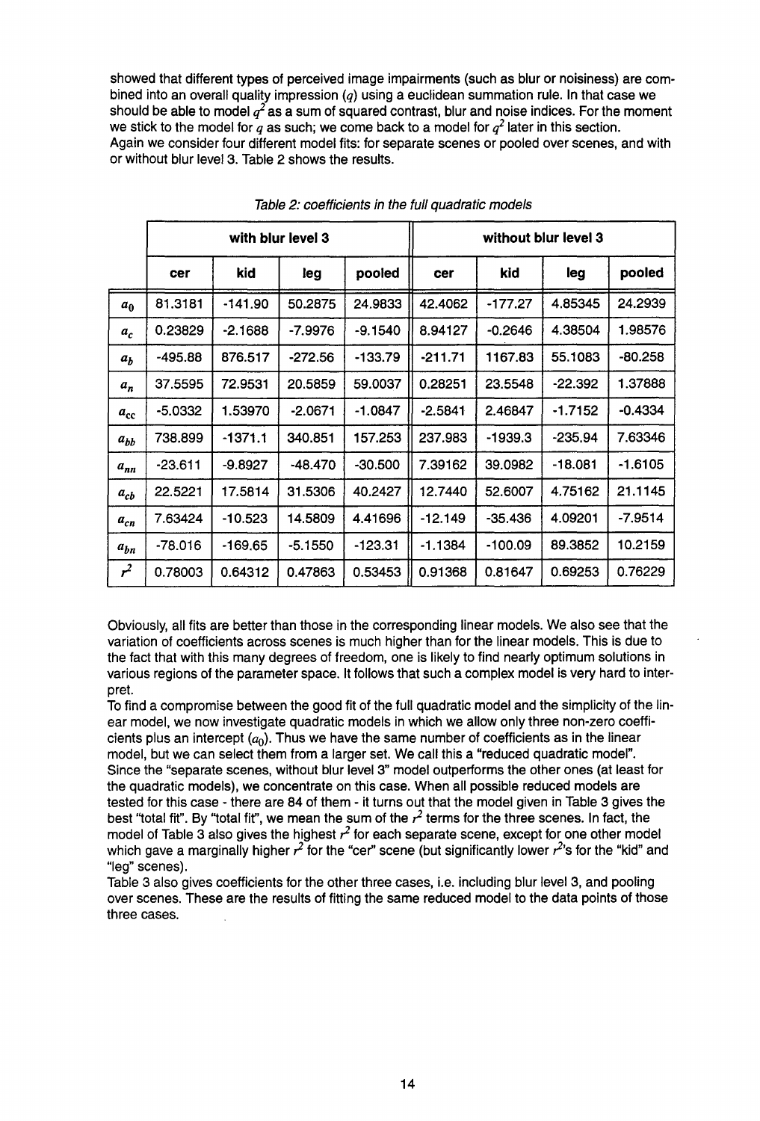showed that different types of perceived image impairments (such as blur or noisiness) are combined into an overall quality impression  $(q)$  using a euclidean summation rule. In that case we should be able to model  $q^2$  as a sum of squared contrast, blur and noise indices. For the moment we stick to the model for  $q$  as such; we come back to a model for  $q^2$  later in this section. Again we consider four different model fits: for separate scenes or pooled over scenes, and with or without blur level 3. Table 2 shows the results.

|                | with blur level 3 |           |           |           | without blur level 3 |           |           |           |
|----------------|-------------------|-----------|-----------|-----------|----------------------|-----------|-----------|-----------|
|                | cer               | kid       | leg       | pooled    | cer                  | kid       | leg       | pooled    |
| a <sub>0</sub> | 81.3181           | $-141.90$ | 50.2875   | 24.9833   | 42.4062              | $-177.27$ | 4.85345   | 24.2939   |
| a <sub>c</sub> | 0.23829           | $-2.1688$ | $-7.9976$ | -9.1540   | 8.94127              | $-0.2646$ | 4.38504   | 1.98576   |
| $a_h$          | -495.88           | 876.517   | $-272.56$ | $-133.79$ | $-211.71$            | 1167.83   | 55.1083   | $-80.258$ |
| $a_n$          | 37.5595           | 72.9531   | 20,5859   | 59.0037   | 0.28251              | 23.5548   | $-22.392$ | 1.37888   |
| $a_{\rm cc}$   | -5.0332           | 1.53970   | $-2.0671$ | -1.0847   | $-2.5841$            | 2.46847   | $-1.7152$ | $-0.4334$ |
| $a_{bb}$       | 738.899           | $-1371.1$ | 340.851   | 157.253   | 237.983              | $-1939.3$ | $-235.94$ | 7.63346   |
| $a_{nn}$       | -23.611           | -9.8927   | -48.470   | $-30.500$ | 7.39162              | 39.0982   | $-18.081$ | -1.6105   |
| $a_{cb}$       | 22.5221           | 17.5814   | 31.5306   | 40.2427   | 12.7440              | 52,6007   | 4.75162   | 21.1145   |
| $a_{cn}$       | 7.63424           | $-10.523$ | 14.5809   | 4.41696   | $-12.149$            | $-35.436$ | 4.09201   | $-7.9514$ |
| $a_{hn}$       | -78.016           | -169.65   | $-5.1550$ | $-123.31$ | -1.1384              | $-100.09$ | 89.3852   | 10.2159   |
| r <sup>2</sup> | 0.78003           | 0.64312   | 0.47863   | 0.53453   | 0.91368              | 0.81647   | 0.69253   | 0.76229   |

Table 2: coefficients in the full quadratic models

Obviously, all fits are better than those in the corresponding linear models. We also see that the variation of coefficients across scenes is much higher than for the linear models. This is due to the fact that with this many degrees of freedom, one is likely to find nearly optimum solutions in various regions of the parameter space. It follows that such a complex model is very hard to interpret.

To find a compromise between the good fit of the full quadratic model and the simplicity of the linear model, we now investigate quadratic models in which we allow only three non-zero coefficients plus an intercept  $(a_0)$ . Thus we have the same number of coefficients as in the linear model, but we can select them from a larger set. We call this a "reduced quadratic model". Since the "separate scenes, without blur level 3" model outperforms the other ones (at least for the quadratic models}, we concentrate on this case. When all possible reduced models are tested for this case - there are 84 of them - it turns out that the model given in Table 3 gives the best "total fit". By "total fit", we mean the sum of the  $r^2$  terms for the three scenes. In fact, the model of Table 3 also gives the highest  $r^2$  for each separate scene, except for one other model which gave a marginally higher  $r^2$  for the "cer" scene (but significantly lower  $r^2$ 's for the "kid" and "leg" scenes).

Table 3 also gives coefficients for the other three cases, i.e. including blur level 3, and pooling over scenes. These are the results of fitting the same reduced model to the data points of those three cases.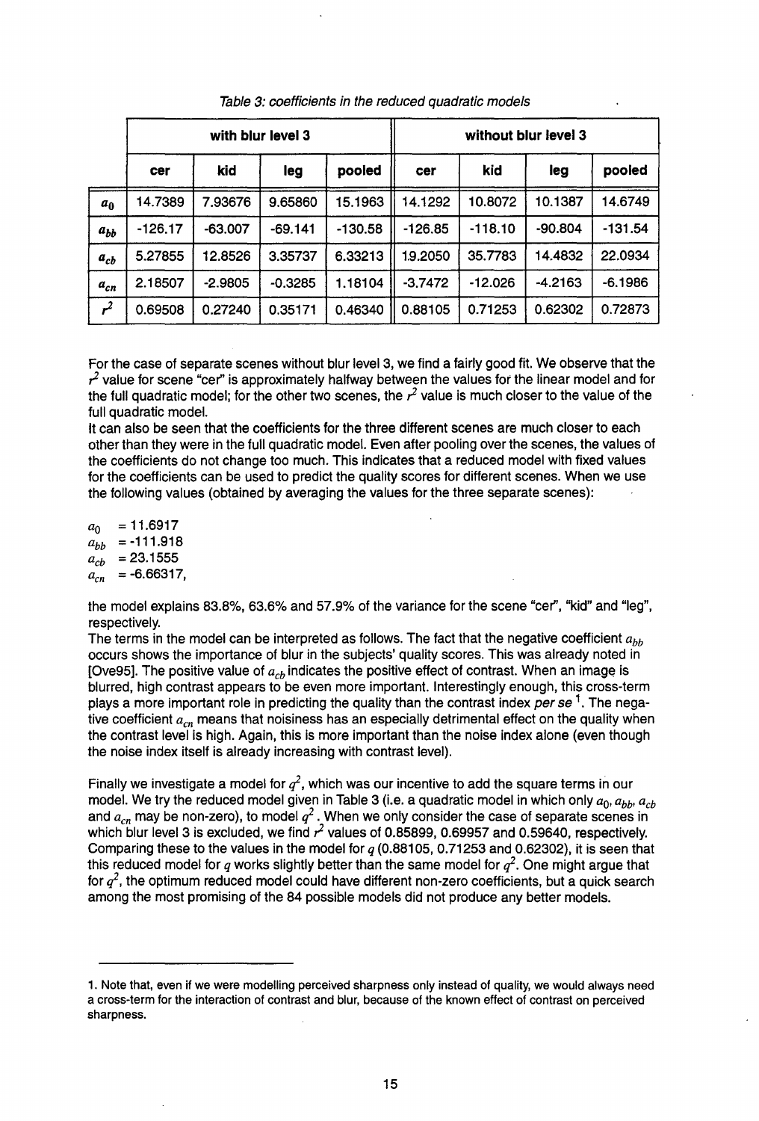|                | with blur level 3 |           |           |           | without blur level 3 |           |           |           |  |
|----------------|-------------------|-----------|-----------|-----------|----------------------|-----------|-----------|-----------|--|
|                | cer               | kid       | leg       | pooled    | cer                  | kid       | leg       | pooled    |  |
| a <sub>0</sub> | 14.7389           | 7.93676   | 9.65860   | 15.1963   | 14.1292              | 10.8072   | 10.1387   | 14.6749   |  |
| $a_{bb}$       | $-126.17$         | $-63.007$ | $-69.141$ | $-130.58$ | $-126.85$            | $-118.10$ | $-90.804$ | $-131.54$ |  |
| $a_{cb}$       | 5.27855           | 12.8526   | 3.35737   | 6.33213   | 1.9.2050             | 35.7783   | 14.4832   | 22.0934   |  |
| $a_{cn}$       | 2.18507           | $-2.9805$ | $-0.3285$ | 1.18104   | $-3.7472$            | $-12.026$ | $-4.2163$ | $-6.1986$ |  |
| $r^2$          | 0.69508           | 0.27240   | 0.35171   | 0.46340   | 0.88105              | 0.71253   | 0.62302   | 0.72873   |  |

Table 3: coefficients in the reduced quadratic models

For the case of separate scenes without blur level 3, we find a fairly good fit. We observe that the  $r^2$  value for scene "cer" is approximately halfway between the values for the linear model and for the full quadratic model; for the other two scenes, the  $r^2$  value is much closer to the value of the full quadratic model.

It can also be seen that the coefficients for the three different scenes are much closer to each other than they were in the full quadratic model. Even after pooling over the scenes, the values of the coefficients do not change too much. This indicates that a reduced model with fixed values for the coefficients can be used to predict the quality scores for different scenes. When we use the following values (obtained by averaging the values for the three separate scenes):

 $a_0 = 11.6917$  $a_{bb}$  = -111.918  $a_{cb}$  = 23.1555  $a_{cn} = -6.66317,$ 

the model explains 83.8%, 63.6% and 57.9% of the variance for the scene "cer'', "kid" and "leg", respectively.

The terms in the model can be interpreted as follows. The fact that the negative coefficient *abb*  occurs shows the importance of blur in the subjects' quality scores. This was already noted in [Ove95]. The positive value of  $a_{cb}$  indicates the positive effect of contrast. When an image is blurred, high contrast appears to be even more important. Interestingly enough, this cross-term plays a more important role in predicting the quality than the contrast index per se<sup>1</sup>. The negative coefficient  $a_{cn}$  means that noisiness has an especially detrimental effect on the quality when the contrast level is high. Again, this is more important than the noise index alone (even though the noise index itself is already increasing with contrast level).

Finally we investigate a model for  $q^2$ , which was our incentive to add the square terms in our model. We try the reduced model given in Table 3 (i.e. a quadratic model in which only  $a_0$ ,  $a_{bb}$ ,  $a_{cb}$ and  $a_{cn}$  may be non-zero), to model  $q^2$ . When we only consider the case of separate scenes in which blur level 3 is excluded, we find  $\vec{r}$  values of 0.85899, 0.69957 and 0.59640, respectively. Comparing these to the values in the model for *q* (0.88105, 0.71253 and 0.62302), it is seen that this reduced model for q works slightly better than the same model for  $q^2$ . One might argue that for  $q^2$ , the optimum reduced model could have different non-zero coefficients, but a quick search among the most promising of the 84 possible models did not produce any better models.

<sup>1.</sup> Note that, even if we were modelling perceived sharpness only instead of quality, we would always need a cross-term for the interaction of contrast and blur, because of the known effect of contrast on perceived sharpness.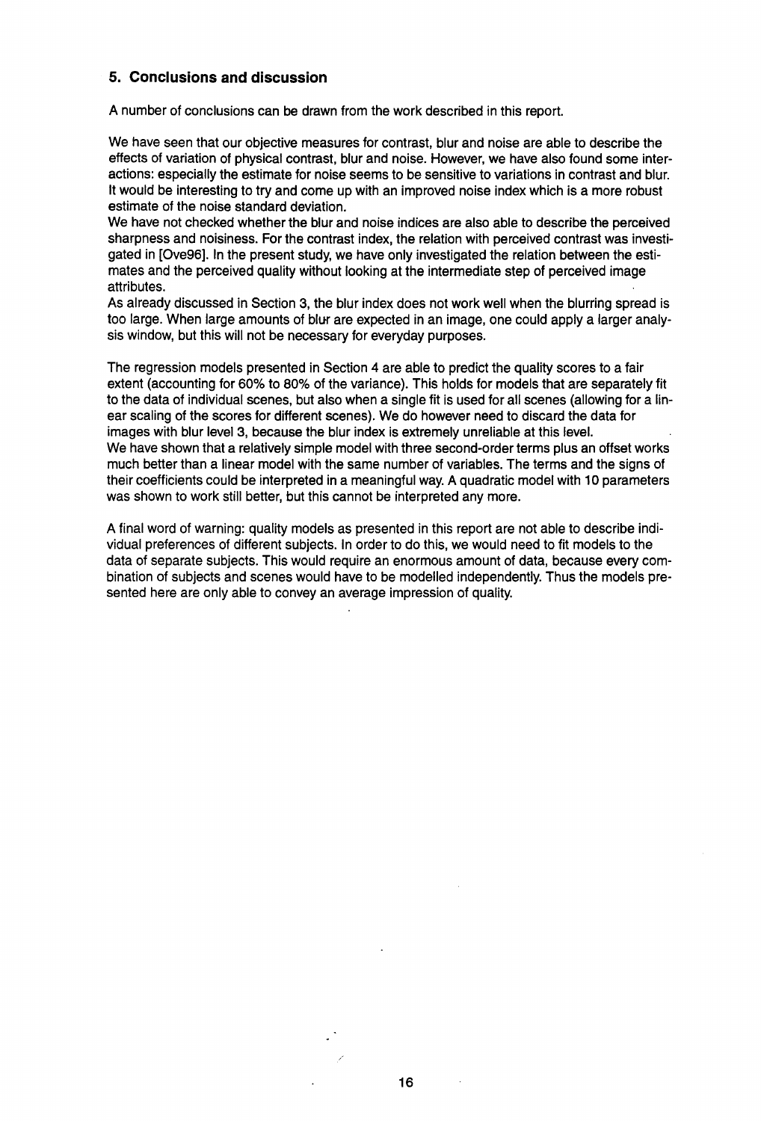#### **5. Conclusions and discussion**

A number of conclusions can be drawn from the work described in this report.

We have seen that our objective measures for contrast, blur and noise are able to describe the effects of variation of physical contrast, blur and noise. However, we have also found some interactions: especially the estimate for noise seems to be sensitive to variations in contrast and blur. It would be interesting to try and come up with an improved noise index which is a more robust estimate of the noise standard deviation.

We have not checked whether the blur and noise indices are also able to describe the perceived sharpness and noisiness. For the contrast index, the relation with perceived contrast was investigated in [Ove96]. In the present study, we have only investigated the relation between the estimates and the perceived quality without looking at the intermediate step of perceived image attributes.

As already discussed in Section 3, the blur index does not work well when the blurring spread is too large. When large amounts of blur are expected in an image, one could apply a larger analysis window, but this will not be necessary for everyday purposes.

The regression models presented in Section 4 are able to predict the quality scores to a fair extent (accounting for 60% to 80% of the variance). This holds for models that are separately fit to the data of individual scenes, but also when a single fit is used for all scenes (allowing for a linear scaling of the scores for different scenes). We do however need to discard the data for images with blur level 3, because the blur index is extremely unreliable at this level. We have shown that a relatively simple model with three second-order terms plus an offset works much better than a linear model with the same number of variables. The terms and the signs of their coefficients could be interpreted in a meaningful way. A quadratic model with 10 parameters was shown to work still better, but this cannot be interpreted any more.

A final word of warning: quality models as presented in this report are not able to describe individual preferences of different subjects. In order to do this, we would need to fit models to the data of separate subjects. This would require an enormous amount of data, because every combination of subjects and scenes would have to be modelled independently. Thus the models presented here are only able to convey an average impression of quality.